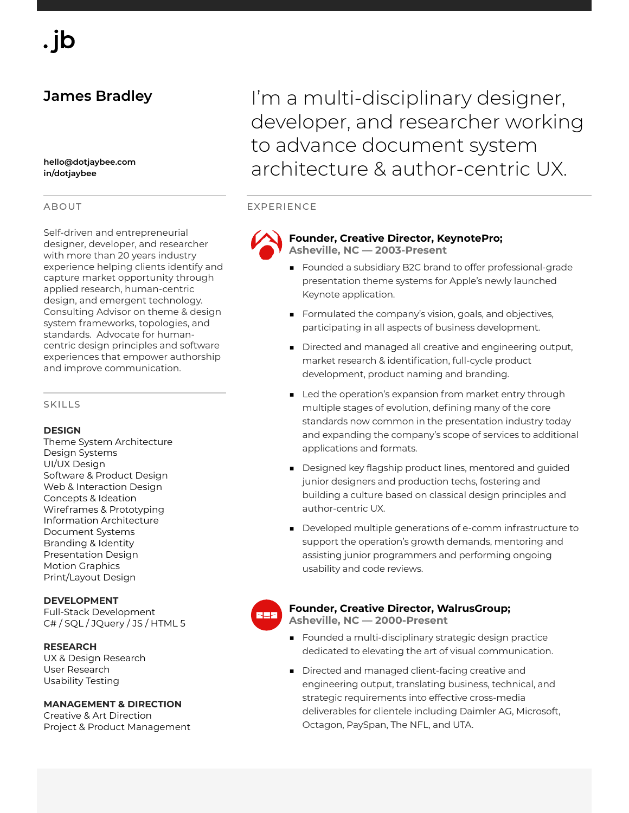# **James Bradley**

**hello@dotjaybee.com in/dotjaybee**

## ABOUT

Self-driven and entrepreneurial designer, developer, and researcher with more than 20 years industry experience helping clients identify and capture market opportunity through applied research, human-centric design, and emergent technology. Consulting Advisor on theme & design system frameworks, topologies, and standards. Advocate for humancentric design principles and software experiences that empower authorship and improve communication.

#### SKILLS

#### **DESIGN**

Theme System Architecture Design Systems UI/UX Design Software & Product Design Web & Interaction Design Concepts & Ideation Wireframes & Prototyping Information Architecture Document Systems Branding & Identity Presentation Design Motion Graphics Print/Layout Design

**DEVELOPMENT** Full-Stack Development C# / SQL / JQuery / JS / HTML 5

**RESEARCH** UX & Design Research User Research Usability Testing

#### **MANAGEMENT & DIRECTION**

Creative & Art Direction Project & Product Management

I'm a multi-disciplinary designer, developer, and researcher working to advance document system architecture & author-centric UX.

## EXPERIENCE



**Founder, Creative Director, KeynotePro; Asheville, NC — 2003-Present**

- Founded a subsidiary B2C brand to offer professional-grade presentation theme systems for Apple's newly launched Keynote application.
- Formulated the company's vision, goals, and objectives, participating in all aspects of business development.
- Directed and managed all creative and engineering output, market research & identification, full-cycle product development, product naming and branding.
- Led the operation's expansion from market entry through multiple stages of evolution, defining many of the core standards now common in the presentation industry today and expanding the company's scope of services to additional applications and formats.
- Designed key flagship product lines, mentored and guided junior designers and production techs, fostering and building a culture based on classical design principles and author-centric UX.
- Developed multiple generations of e-comm infrastructure to support the operation's growth demands, mentoring and assisting junior programmers and performing ongoing usability and code reviews.

## **Founder, Creative Director, WalrusGroup;**

**Asheville, NC — 2000-Present**

- Founded a multi-disciplinary strategic design practice dedicated to elevating the art of visual communication.
- Directed and managed client-facing creative and engineering output, translating business, technical, and strategic requirements into effective cross-media deliverables for clientele including Daimler AG, Microsoft, Octagon, PaySpan, The NFL, and UTA.